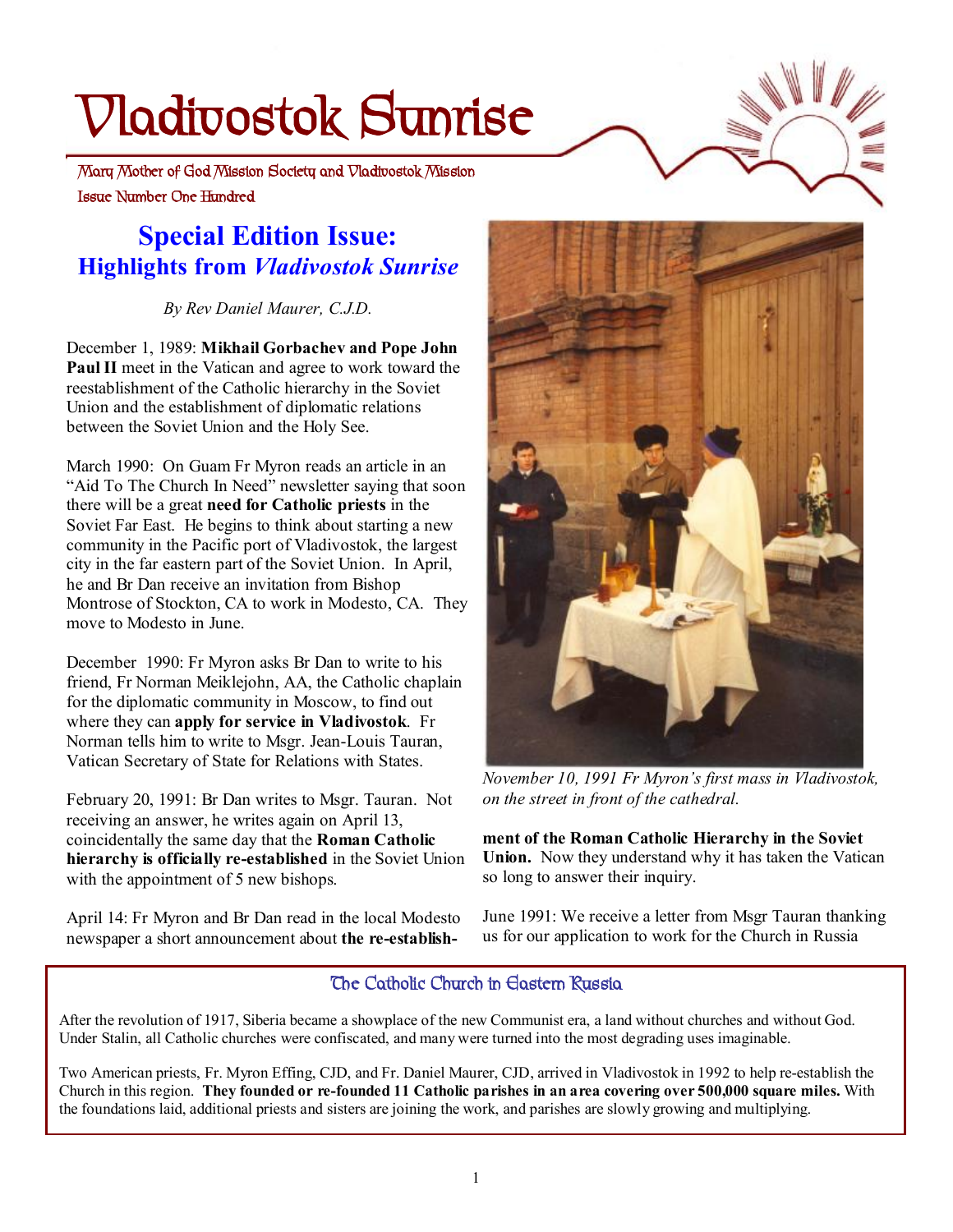# **Vladivostok Sunrise**

 **Issue Number One Hundred Mary Mother of God Mission Society and Vladivostok Mission** 

# **Special Edition Issue: Highlights from** *Vladivostok Sunrise*

*By Rev Daniel Maurer, C.J.D.* 

December 1, 1989: **Mikhail Gorbachev and Pope John Paul II** meet in the Vatican and agree to work toward the reestablishment of the Catholic hierarchy in the Soviet Union and the establishment of diplomatic relations between the Soviet Union and the Holy See.

March 1990: On Guam Fr Myron reads an article in an "Aid To The Church In Need" newsletter saying that soon there will be a great **need for Catholic priests** in the Soviet Far East. He begins to think about starting a new community in the Pacific port of Vladivostok, the largest city in the far eastern part of the Soviet Union. In April, he and Br Dan receive an invitation from Bishop Montrose of Stockton, CA to work in Modesto, CA. They move to Modesto in June.

December 1990: Fr Myron asks Br Dan to write to his friend, Fr Norman Meiklejohn, AA, the Catholic chaplain for the diplomatic community in Moscow, to find out where they can **apply for service in Vladivostok**. Fr Norman tells him to write to Msgr. Jean-Louis Tauran, Vatican Secretary of State for Relations with States.

February 20, 1991: Br Dan writes to Msgr. Tauran. Not receiving an answer, he writes again on April 13, coincidentally the same day that the **Roman Catholic hierarchy is officially re-established** in the Soviet Union with the appointment of 5 new bishops.

April 14: Fr Myron and Br Dan read in the local Modesto newspaper a short announcement about **the re-establish-**



*November 10, 1991 Fr Myron's first mass in Vladivostok, on the street in front of the cathedral.* 

**ment of the Roman Catholic Hierarchy in the Soviet Union.** Now they understand why it has taken the Vatican so long to answer their inquiry.

June 1991: We receive a letter from Msgr Tauran thanking us for our application to work for the Church in Russia

## **The Catholic Church in Eastern Russia**

After the revolution of 1917, Siberia became a showplace of the new Communist era, a land without churches and without God. Under Stalin, all Catholic churches were confiscated, and many were turned into the most degrading uses imaginable.

Two American priests, Fr. Myron Effing, CJD, and Fr. Daniel Maurer, CJD, arrived in Vladivostok in 1992 to help re-establish the Church in this region. They founded or re-founded 11 Catholic parishes in an area covering over 500,000 square miles. With the foundations laid, additional priests and sisters are joining the work, and parishes are slowly growing and multiplying.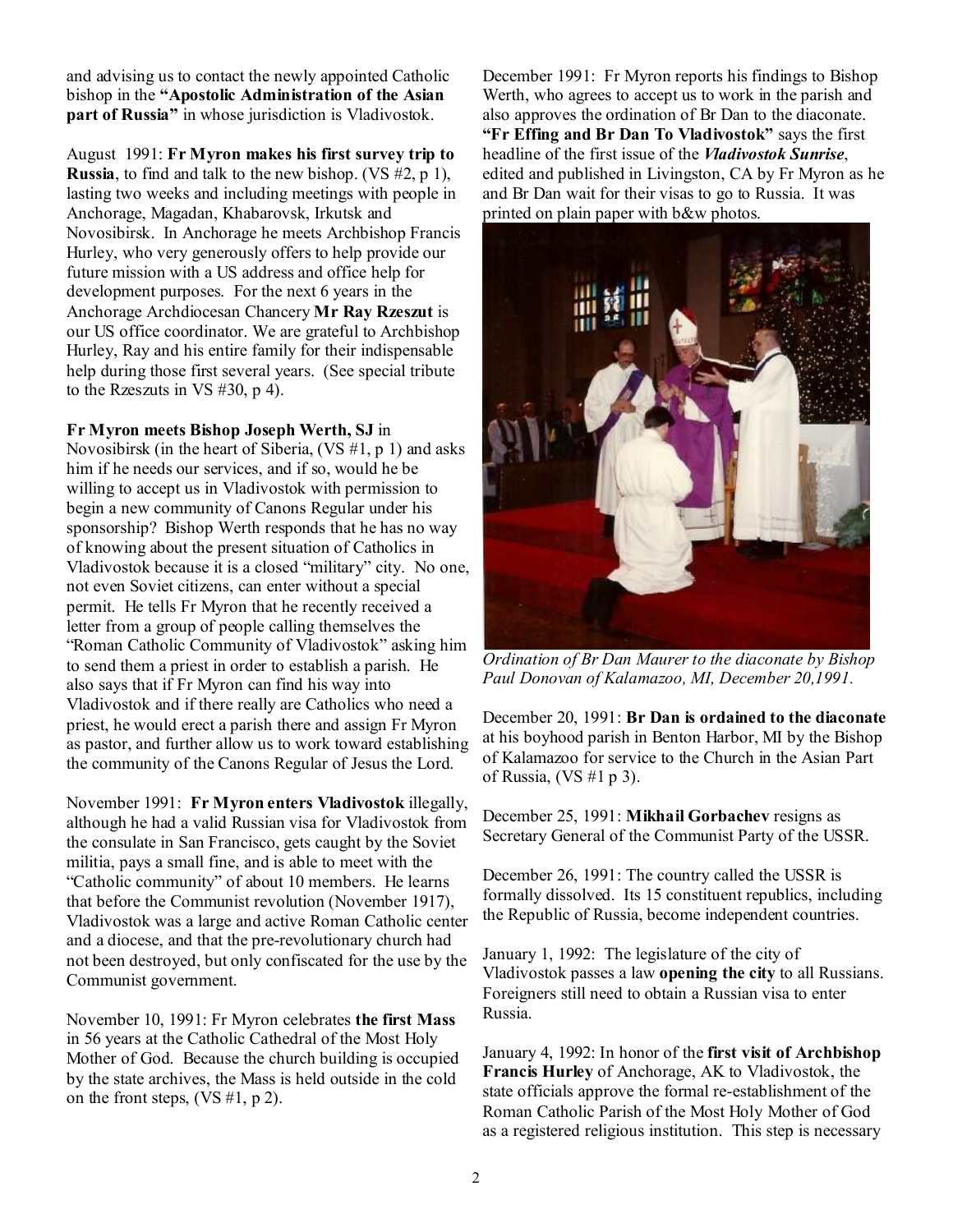and advising us to contact the newly appointed Catholic bishop in the **"Apostolic Administration of the Asian part of Russia"** in whose jurisdiction is Vladivostok.

August 1991: **Fr Myron makes his first survey trip to Russia**, to find and talk to the new bishop. (VS #2, p 1), lasting two weeks and including meetings with people in Anchorage, Magadan, Khabarovsk, Irkutsk and Novosibirsk. In Anchorage he meets Archbishop Francis Hurley, who very generously offers to help provide our future mission with a US address and office help for development purposes. For the next 6 years in the Anchorage Archdiocesan Chancery **Mr Ray Rzeszut** is our US office coordinator. We are grateful to Archbishop Hurley, Ray and his entire family for their indispensable help during those first several years. (See special tribute to the Rzeszuts in VS #30, p 4).

#### **Fr Myron meets Bishop Joseph Werth, SJ** in

Novosibirsk (in the heart of Siberia, (VS #1, p 1) and asks him if he needs our services, and if so, would he be willing to accept us in Vladivostok with permission to begin a new community of Canons Regular under his sponsorship? Bishop Werth responds that he has no way of knowing about the present situation of Catholics in Vladivostok because it is a closed "military" city. No one, not even Soviet citizens, can enter without a special permit. He tells Fr Myron that he recently received a letter from a group of people calling themselves the "Roman Catholic Community of Vladivostok" asking him to send them a priest in order to establish a parish. He also says that if Fr Myron can find his way into Vladivostok and if there really are Catholics who need a priest, he would erect a parish there and assign Fr Myron as pastor, and further allow us to work toward establishing the community of the Canons Regular of Jesus the Lord.

November 1991: **Fr Myron enters Vladivostok** illegally, although he had a valid Russian visa for Vladivostok from the consulate in San Francisco, gets caught by the Soviet militia, pays a small fine, and is able to meet with the "Catholic community" of about 10 members. He learns that before the Communist revolution (November 1917), Vladivostok was a large and active Roman Catholic center and a diocese, and that the pre-revolutionary church had not been destroyed, but only confiscated for the use by the Communist government.

November 10, 1991: Fr Myron celebrates **the first Mass** in 56 years at the Catholic Cathedral of the Most Holy Mother of God. Because the church building is occupied by the state archives, the Mass is held outside in the cold on the front steps,  $(VS #1, p 2)$ .

December 1991: Fr Myron reports his findings to Bishop Werth, who agrees to accept us to work in the parish and also approves the ordination of Br Dan to the diaconate. **"Fr Effing and Br Dan To Vladivostok"** says the first headline of the first issue of the *Vladivostok Sunrise*, edited and published in Livingston, CA by Fr Myron as he and Br Dan wait for their visas to go to Russia. It was printed on plain paper with b&w photos.



*Ordination of Br Dan Maurer to the diaconate by Bishop Paul Donovan of Kalamazoo, MI, December 20,1991.* 

December 20, 1991: **Br Dan is ordained to the diaconate** at his boyhood parish in Benton Harbor, MI by the Bishop of Kalamazoo for service to the Church in the Asian Part of Russia, (VS #1 p 3).

December 25, 1991: **Mikhail Gorbachev** resigns as Secretary General of the Communist Party of the USSR.

December 26, 1991: The country called the USSR is formally dissolved. Its 15 constituent republics, including the Republic of Russia, become independent countries.

January 1, 1992: The legislature of the city of Vladivostok passes a law **opening the city** to all Russians. Foreigners still need to obtain a Russian visa to enter Russia.

January 4, 1992: In honor of the **first visit of Archbishop Francis Hurley** of Anchorage, AK to Vladivostok, the state officials approve the formal re-establishment of the Roman Catholic Parish of the Most Holy Mother of God as a registered religious institution. This step is necessary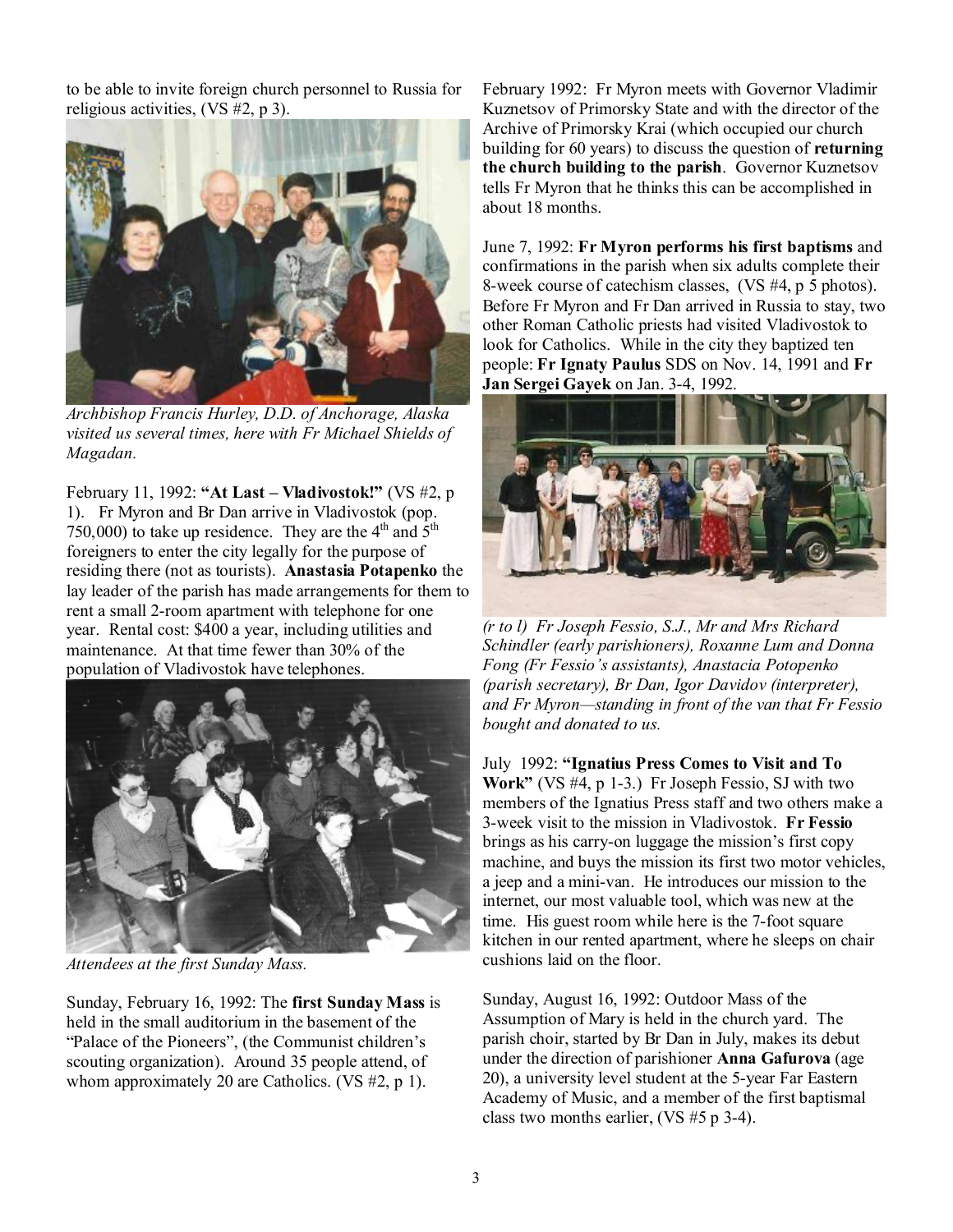to be able to invite foreign church personnel to Russia for religious activities, (VS #2, p 3).



*Archbishop Francis Hurley, D.D. of Anchorage, Alaska visited us several times, here with Fr Michael Shields of Magadan.* 

February 11, 1992: **"At Last – Vladivostok!"** (VS #2, p 1). Fr Myron and Br Dan arrive in Vladivostok (pop. 750,000) to take up residence. They are the  $4<sup>th</sup>$  and  $5<sup>th</sup>$ foreigners to enter the city legally for the purpose of residing there (not as tourists). **Anastasia Potapenko** the lay leader of the parish has made arrangements for them to rent a small 2-room apartment with telephone for one year. Rental cost: \$400 a year, including utilities and maintenance. At that time fewer than 30% of the population of Vladivostok have telephones.



*Attendees at the first Sunday Mass.* 

Sunday, February 16, 1992: The **first Sunday Mass** is held in the small auditorium in the basement of the "Palace of the Pioneers", (the Communist children's scouting organization). Around 35 people attend, of whom approximately 20 are Catholics. (VS #2, p 1).

February 1992: Fr Myron meets with Governor Vladimir Kuznetsov of Primorsky State and with the director of the Archive of Primorsky Krai (which occupied our church building for 60 years) to discuss the question of **returning the church building to the parish**. Governor Kuznetsov tells Fr Myron that he thinks this can be accomplished in about 18 months.

June 7, 1992: **Fr Myron performs his first baptisms** and confirmations in the parish when six adults complete their 8-week course of catechism classes, (VS #4, p 5 photos). Before Fr Myron and Fr Dan arrived in Russia to stay, two other Roman Catholic priests had visited Vladivostok to look for Catholics. While in the city they baptized ten people: **Fr Ignaty Paulus** SDS on Nov. 14, 1991 and **Fr Jan Sergei Gayek** on Jan. 3-4, 1992.



*(r to l) Fr Joseph Fessio, S.J., Mr and Mrs Richard Schindler (early parishioners), Roxanne Lum and Donna Fong (Fr Fessio's assistants), Anastacia Potopenko (parish secretary), Br Dan, Igor Davidov (interpreter), and Fr Myron—standing in front of the van that Fr Fessio bought and donated to us.* 

July 1992: **"Ignatius Press Comes to Visit and To Work"** (VS #4, p 1-3.) Fr Joseph Fessio, SJ with two members of the Ignatius Press staff and two others make a 3-week visit to the mission in Vladivostok. **Fr Fessio** brings as his carry-on luggage the mission's first copy machine, and buys the mission its first two motor vehicles, a jeep and a mini-van. He introduces our mission to the internet, our most valuable tool, which was new at the time. His guest room while here is the 7-foot square kitchen in our rented apartment, where he sleeps on chair cushions laid on the floor.

Sunday, August 16, 1992: Outdoor Mass of the Assumption of Mary is held in the church yard. The parish choir, started by Br Dan in July, makes its debut under the direction of parishioner **Anna Gafurova** (age 20), a university level student at the 5-year Far Eastern Academy of Music, and a member of the first baptismal class two months earlier, (VS #5 p 3-4).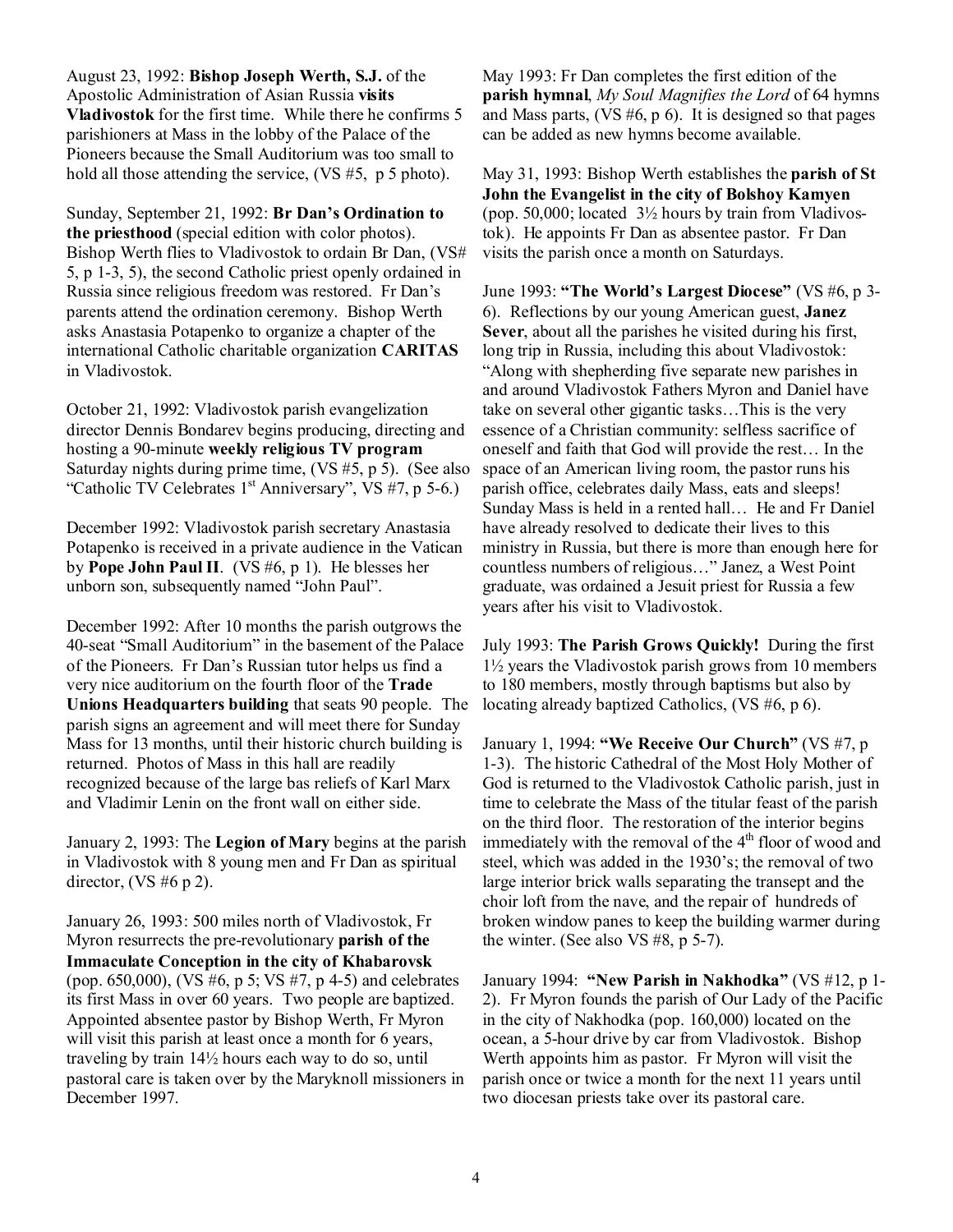August 23, 1992: **Bishop Joseph Werth, S.J.** of the Apostolic Administration of Asian Russia **visits Vladivostok** for the first time. While there he confirms 5 parishioners at Mass in the lobby of the Palace of the Pioneers because the Small Auditorium was too small to hold all those attending the service, (VS #5, p 5 photo).

Sunday, September 21, 1992: **Br Dan's Ordination to the priesthood** (special edition with color photos). Bishop Werth flies to Vladivostok to ordain Br Dan, (VS# 5, p 1-3, 5), the second Catholic priest openly ordained in Russia since religious freedom was restored. Fr Dan's parents attend the ordination ceremony. Bishop Werth asks Anastasia Potapenko to organize a chapter of the international Catholic charitable organization **CARITAS** in Vladivostok.

October 21, 1992: Vladivostok parish evangelization director Dennis Bondarev begins producing, directing and hosting a 90-minute **weekly religious TV program** Saturday nights during prime time, (VS #5, p 5). (See also "Catholic TV Celebrates  $1<sup>st</sup>$  Anniversary", VS #7, p 5-6.)

December 1992: Vladivostok parish secretary Anastasia Potapenko is received in a private audience in the Vatican by **Pope John Paul II**. (VS #6, p 1). He blesses her unborn son, subsequently named "John Paul".

December 1992: After 10 months the parish outgrows the 40-seat "Small Auditorium" in the basement of the Palace of the Pioneers. Fr Dan's Russian tutor helps us find a very nice auditorium on the fourth floor of the **Trade Unions Headquarters building** that seats 90 people. The parish signs an agreement and will meet there for Sunday Mass for 13 months, until their historic church building is returned. Photos of Mass in this hall are readily recognized because of the large bas reliefs of Karl Marx and Vladimir Lenin on the front wall on either side.

January 2, 1993: The **Legion of Mary** begins at the parish in Vladivostok with 8 young men and Fr Dan as spiritual director, (VS #6 p 2).

January 26, 1993: 500 miles north of Vladivostok, Fr Myron resurrects the pre-revolutionary **parish of the Immaculate Conception in the city of Khabarovsk** (pop. 650,000), (VS #6, p 5; VS #7, p 4-5) and celebrates its first Mass in over 60 years. Two people are baptized. Appointed absentee pastor by Bishop Werth, Fr Myron will visit this parish at least once a month for 6 years, traveling by train 14½ hours each way to do so, until pastoral care is taken over by the Maryknoll missioners in December 1997.

May 1993: Fr Dan completes the first edition of the **parish hymnal**, *My Soul Magnifies the Lord* of 64 hymns and Mass parts,  $(VS \# 6, p \ 6)$ . It is designed so that pages can be added as new hymns become available.

May 31, 1993: Bishop Werth establishes the **parish of St John the Evangelist in the city of Bolshoy Kamyen** (pop. 50,000; located  $3\frac{1}{2}$  hours by train from Vladivostok). He appoints Fr Dan as absentee pastor. Fr Dan visits the parish once a month on Saturdays.

June 1993: **"The World's Largest Diocese"** (VS #6, p 3- 6). Reflections by our young American guest, **Janez Sever**, about all the parishes he visited during his first, long trip in Russia, including this about Vladivostok: "Along with shepherding five separate new parishes in and around Vladivostok Fathers Myron and Daniel have take on several other gigantic tasks…This is the very essence of a Christian community: selfless sacrifice of oneself and faith that God will provide the rest… In the space of an American living room, the pastor runs his parish office, celebrates daily Mass, eats and sleeps! Sunday Mass is held in a rented hall… He and Fr Daniel have already resolved to dedicate their lives to this ministry in Russia, but there is more than enough here for countless numbers of religious…" Janez, a West Point graduate, was ordained a Jesuit priest for Russia a few years after his visit to Vladivostok.

July 1993: **The Parish Grows Quickly!** During the first 1½ years the Vladivostok parish grows from 10 members to 180 members, mostly through baptisms but also by locating already baptized Catholics, (VS #6, p 6).

January 1, 1994: **"We Receive Our Church"** (VS #7, p 1-3). The historic Cathedral of the Most Holy Mother of God is returned to the Vladivostok Catholic parish, just in time to celebrate the Mass of the titular feast of the parish on the third floor. The restoration of the interior begins immediately with the removal of the  $4<sup>th</sup>$  floor of wood and steel, which was added in the 1930's; the removal of two large interior brick walls separating the transept and the choir loft from the nave, and the repair of hundreds of broken window panes to keep the building warmer during the winter. (See also VS #8, p 5-7).

January 1994: **"New Parish in Nakhodka"** (VS #12, p 1- 2). Fr Myron founds the parish of Our Lady of the Pacific in the city of Nakhodka (pop. 160,000) located on the ocean, a 5-hour drive by car from Vladivostok. Bishop Werth appoints him as pastor. Fr Myron will visit the parish once or twice a month for the next 11 years until two diocesan priests take over its pastoral care.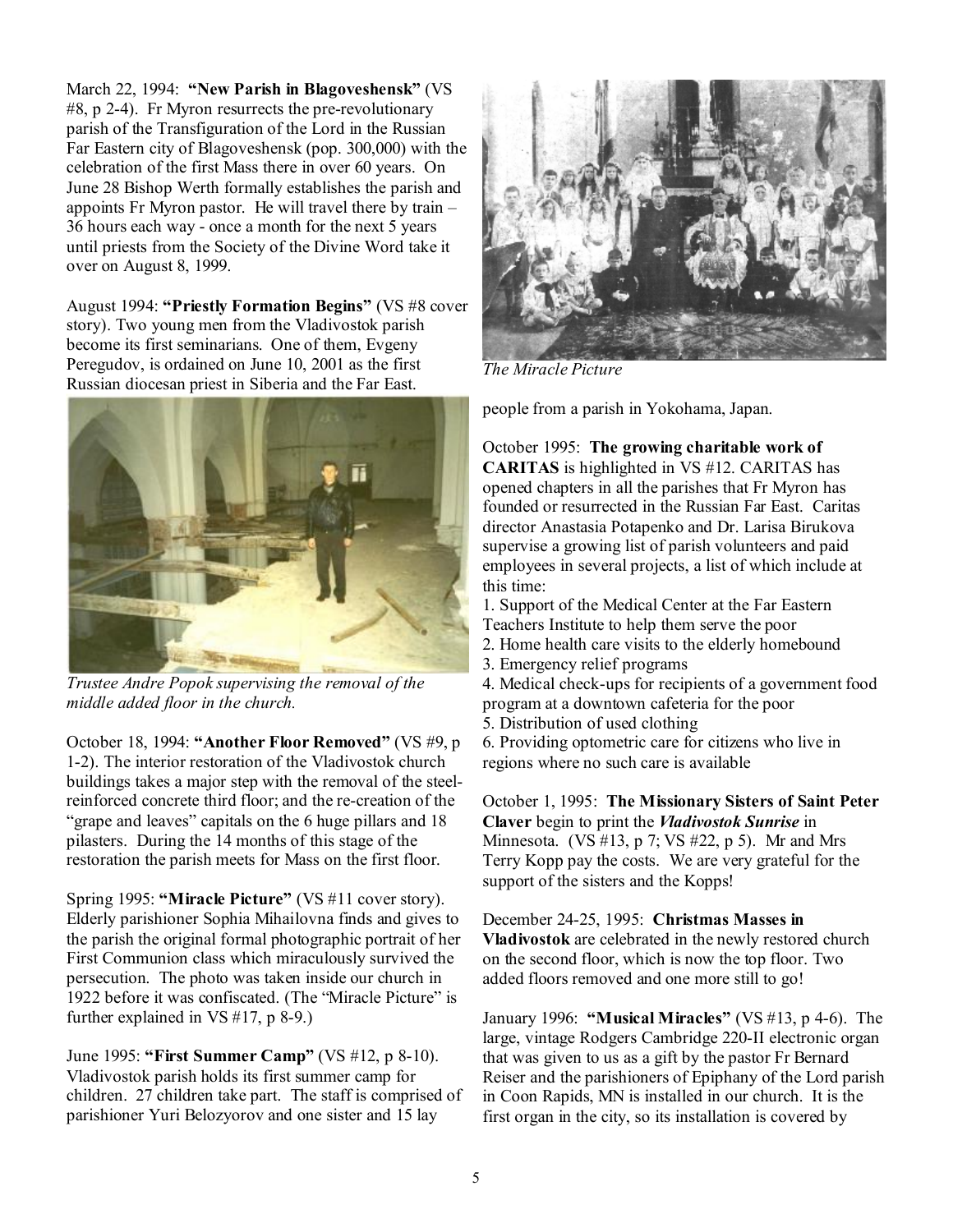March 22, 1994: **"New Parish in Blagoveshensk"** (VS #8, p 2-4). Fr Myron resurrects the pre-revolutionary parish of the Transfiguration of the Lord in the Russian Far Eastern city of Blagoveshensk (pop. 300,000) with the celebration of the first Mass there in over 60 years. On June 28 Bishop Werth formally establishes the parish and appoints Fr Myron pastor. He will travel there by train – 36 hours each way - once a month for the next 5 years until priests from the Society of the Divine Word take it over on August 8, 1999.

August 1994: **"Priestly Formation Begins"** (VS #8 cover story). Two young men from the Vladivostok parish become its first seminarians. One of them, Evgeny Peregudov, is ordained on June 10, 2001 as the first Russian diocesan priest in Siberia and the Far East.



*Trustee Andre Popok supervising the removal of the middle added floor in the church.* 

October 18, 1994: **"Another Floor Removed"** (VS #9, p 1-2). The interior restoration of the Vladivostok church buildings takes a major step with the removal of the steelreinforced concrete third floor; and the re-creation of the "grape and leaves" capitals on the 6 huge pillars and 18 pilasters. During the 14 months of this stage of the restoration the parish meets for Mass on the first floor.

Spring 1995: **"Miracle Picture"** (VS #11 cover story). Elderly parishioner Sophia Mihailovna finds and gives to the parish the original formal photographic portrait of her First Communion class which miraculously survived the persecution. The photo was taken inside our church in 1922 before it was confiscated. (The "Miracle Picture" is further explained in VS #17, p 8-9.)

June 1995: **"First Summer Camp"** (VS #12, p 8-10). Vladivostok parish holds its first summer camp for children. 27 children take part. The staff is comprised of parishioner Yuri Belozyorov and one sister and 15 lay



*The Miracle Picture* 

people from a parish in Yokohama, Japan.

October 1995: **The growing charitable work of CARITAS** is highlighted in VS #12. CARITAS has opened chapters in all the parishes that Fr Myron has founded or resurrected in the Russian Far East. Caritas director Anastasia Potapenko and Dr. Larisa Birukova supervise a growing list of parish volunteers and paid employees in several projects, a list of which include at this time:

1. Support of the Medical Center at the Far Eastern Teachers Institute to help them serve the poor

- 2. Home health care visits to the elderly homebound
- 3. Emergency relief programs
- 4. Medical check-ups for recipients of a government food program at a downtown cafeteria for the poor
- 5. Distribution of used clothing
- 6. Providing optometric care for citizens who live in regions where no such care is available

October 1, 1995: **The Missionary Sisters of Saint Peter Claver** begin to print the *Vladivostok Sunrise* in Minnesota. (VS #13, p 7; VS #22, p 5). Mr and Mrs Terry Kopp pay the costs. We are very grateful for the support of the sisters and the Kopps!

December 24-25, 1995: **Christmas Masses in Vladivostok** are celebrated in the newly restored church on the second floor, which is now the top floor. Two added floors removed and one more still to go!

January 1996: **"Musical Miracles"** (VS #13, p 4-6). The large, vintage Rodgers Cambridge 220-II electronic organ that was given to us as a gift by the pastor Fr Bernard Reiser and the parishioners of Epiphany of the Lord parish in Coon Rapids, MN is installed in our church. It is the first organ in the city, so its installation is covered by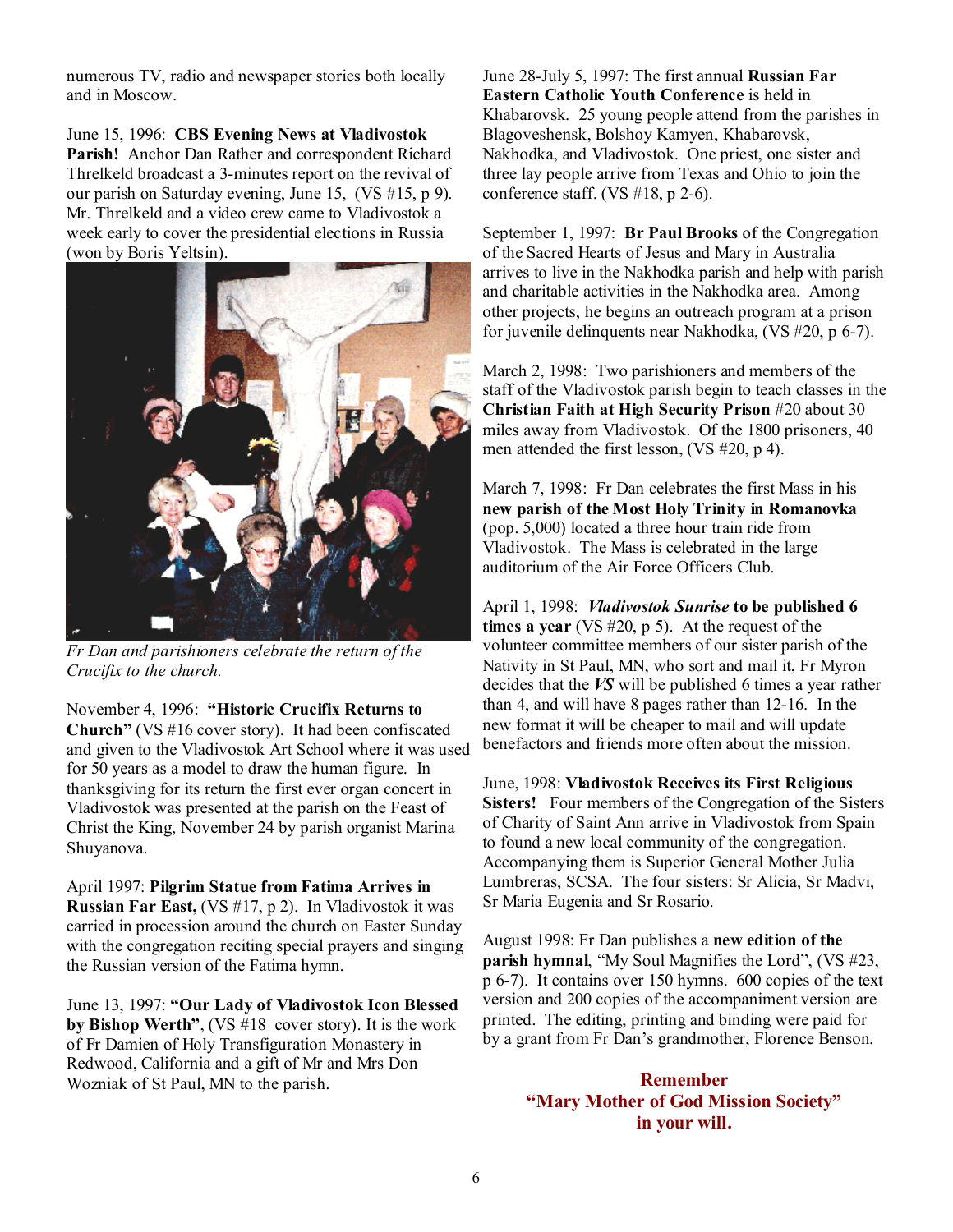numerous TV, radio and newspaper stories both locally and in Moscow.

June 15, 1996: **CBS Evening News at Vladivostok Parish!** Anchor Dan Rather and correspondent Richard Threlkeld broadcast a 3-minutes report on the revival of our parish on Saturday evening, June 15, (VS #15, p 9). Mr. Threlkeld and a video crew came to Vladivostok a week early to cover the presidential elections in Russia (won by Boris Yeltsin).



*Fr Dan and parishioners celebrate the return of the Crucifix to the church.* 

November 4, 1996: **"Historic Crucifix Returns to Church"** (VS #16 cover story).It had been confiscated and given to the Vladivostok Art School where it was used for 50 years as a model to draw the human figure. In thanksgiving for its return the first ever organ concert in Vladivostok was presented at the parish on the Feast of Christ the King, November 24 by parish organist Marina Shuyanova.

April 1997: **Pilgrim Statue from Fatima Arrives in Russian Far East,** (VS #17, p 2). In Vladivostok it was carried in procession around the church on Easter Sunday with the congregation reciting special prayers and singing the Russian version of the Fatima hymn.

June 13, 1997: **"Our Lady of Vladivostok Icon Blessed by Bishop Werth"**, (VS #18 cover story). It is the work of Fr Damien of Holy Transfiguration Monastery in Redwood, California and a gift of Mr and Mrs Don Wozniak of St Paul, MN to the parish.

June 28-July 5, 1997: The first annual **Russian Far Eastern Catholic Youth Conference** is held in Khabarovsk. 25 young people attend from the parishes in Blagoveshensk, Bolshoy Kamyen, Khabarovsk, Nakhodka, and Vladivostok. One priest, one sister and three lay people arrive from Texas and Ohio to join the conference staff. (VS  $\#18$ , p 2-6).

September 1, 1997: **Br Paul Brooks** of the Congregation of the Sacred Hearts of Jesus and Mary in Australia arrives to live in the Nakhodka parish and help with parish and charitable activities in the Nakhodka area. Among other projects, he begins an outreach program at a prison for juvenile delinquents near Nakhodka, (VS #20, p 6-7).

March 2, 1998: Two parishioners and members of the staff of the Vladivostok parish begin to teach classes in the **Christian Faith at High Security Prison** #20 about 30 miles away from Vladivostok. Of the 1800 prisoners, 40 men attended the first lesson, (VS #20, p 4).

March 7, 1998: Fr Dan celebrates the first Mass in his **new parish of the Most Holy Trinity in Romanovka** (pop. 5,000) located a three hour train ride from Vladivostok. The Mass is celebrated in the large auditorium of the Air Force Officers Club.

April 1, 1998: *Vladivostok Sunrise* **to be published 6 times a year** (VS #20, p 5).At the request of the volunteer committee members of our sister parish of the Nativity in St Paul, MN, who sort and mail it, Fr Myron decides that the *VS* will be published 6 times a year rather than 4, and will have 8 pages rather than 12-16. In the new format it will be cheaper to mail and will update benefactors and friends more often about the mission.

June, 1998: **Vladivostok Receives its First Religious Sisters!** Four members of the Congregation of the Sisters of Charity of Saint Ann arrive in Vladivostok from Spain to found a new local community of the congregation. Accompanying them is Superior General Mother Julia Lumbreras, SCSA. The four sisters: Sr Alicia, Sr Madvi, Sr Maria Eugenia and Sr Rosario.

August 1998: Fr Dan publishes a **new edition of the parish hymnal**, "My Soul Magnifies the Lord", (VS #23, p 6-7). It contains over 150 hymns. 600 copies of the text version and 200 copies of the accompaniment version are printed. The editing, printing and binding were paid for by a grant from Fr Dan's grandmother, Florence Benson.

> **Remember "Mary Mother of God Mission Society" in your will.**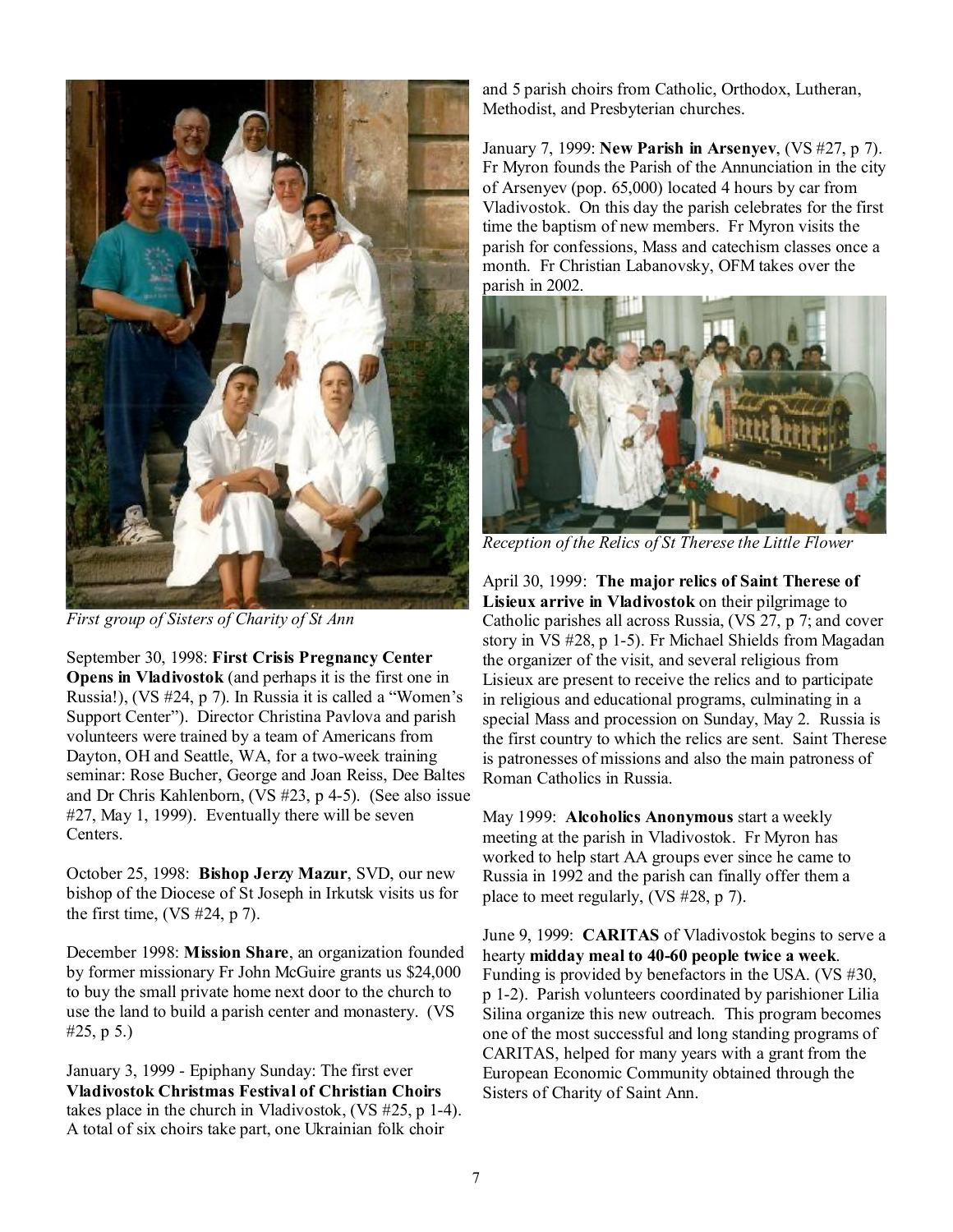

*First group of Sisters of Charity of St Ann* 

September 30, 1998: **First Crisis Pregnancy Center Opens in Vladivostok** (and perhaps it is the first one in Russia!), (VS #24, p 7). In Russia it is called a "Women's Support Center"). Director Christina Pavlova and parish volunteers were trained by a team of Americans from Dayton, OH and Seattle, WA, for a two-week training seminar: Rose Bucher, George and Joan Reiss, Dee Baltes and Dr Chris Kahlenborn, (VS #23, p 4-5). (See also issue #27, May 1, 1999). Eventually there will be seven Centers.

October 25, 1998: **Bishop Jerzy Mazur**, SVD, our new bishop of the Diocese of St Joseph in Irkutsk visits us for the first time,  $(VS \#24, p 7)$ .

December 1998: **Mission Share**, an organization founded by former missionary Fr John McGuire grants us \$24,000 to buy the small private home next door to the church to use the land to build a parish center and monastery. (VS #25, p 5.)

January 3, 1999 - Epiphany Sunday: The first ever **Vladivostok Christmas Festival of Christian Choirs** takes place in the church in Vladivostok, (VS #25, p 1-4). A total of six choirs take part, one Ukrainian folk choir

and 5 parish choirs from Catholic, Orthodox, Lutheran, Methodist, and Presbyterian churches.

January 7, 1999: **New Parish in Arsenyev**, (VS #27, p 7). Fr Myron founds the Parish of the Annunciation in the city of Arsenyev (pop. 65,000) located 4 hours by car from Vladivostok. On this day the parish celebrates for the first time the baptism of new members. Fr Myron visits the parish for confessions, Mass and catechism classes once a month. Fr Christian Labanovsky, OFM takes over the parish in 2002.



*Reception of the Relics of St Therese the Little Flower* 

April 30, 1999: **The major relics of Saint Therese of Lisieux arrive in Vladivostok** on their pilgrimage to Catholic parishes all across Russia, (VS 27, p 7; and cover story in VS #28, p 1-5). Fr Michael Shields from Magadan the organizer of the visit, and several religious from Lisieux are present to receive the relics and to participate in religious and educational programs, culminating in a special Mass and procession on Sunday, May 2. Russia is the first country to which the relics are sent. Saint Therese is patronesses of missions and also the main patroness of Roman Catholics in Russia.

May 1999: **Alcoholics Anonymous** start a weekly meeting at the parish in Vladivostok. Fr Myron has worked to help start AA groups ever since he came to Russia in 1992 and the parish can finally offer them a place to meet regularly, (VS #28, p 7).

June 9, 1999: **CARITAS** of Vladivostok begins to serve a hearty **midday meal to 40-60 people twice a week**. Funding is provided by benefactors in the USA. (VS #30, p 1-2). Parish volunteers coordinated by parishioner Lilia Silina organize this new outreach. This program becomes one of the most successful and long standing programs of CARITAS, helped for many years with a grant from the European Economic Community obtained through the Sisters of Charity of Saint Ann.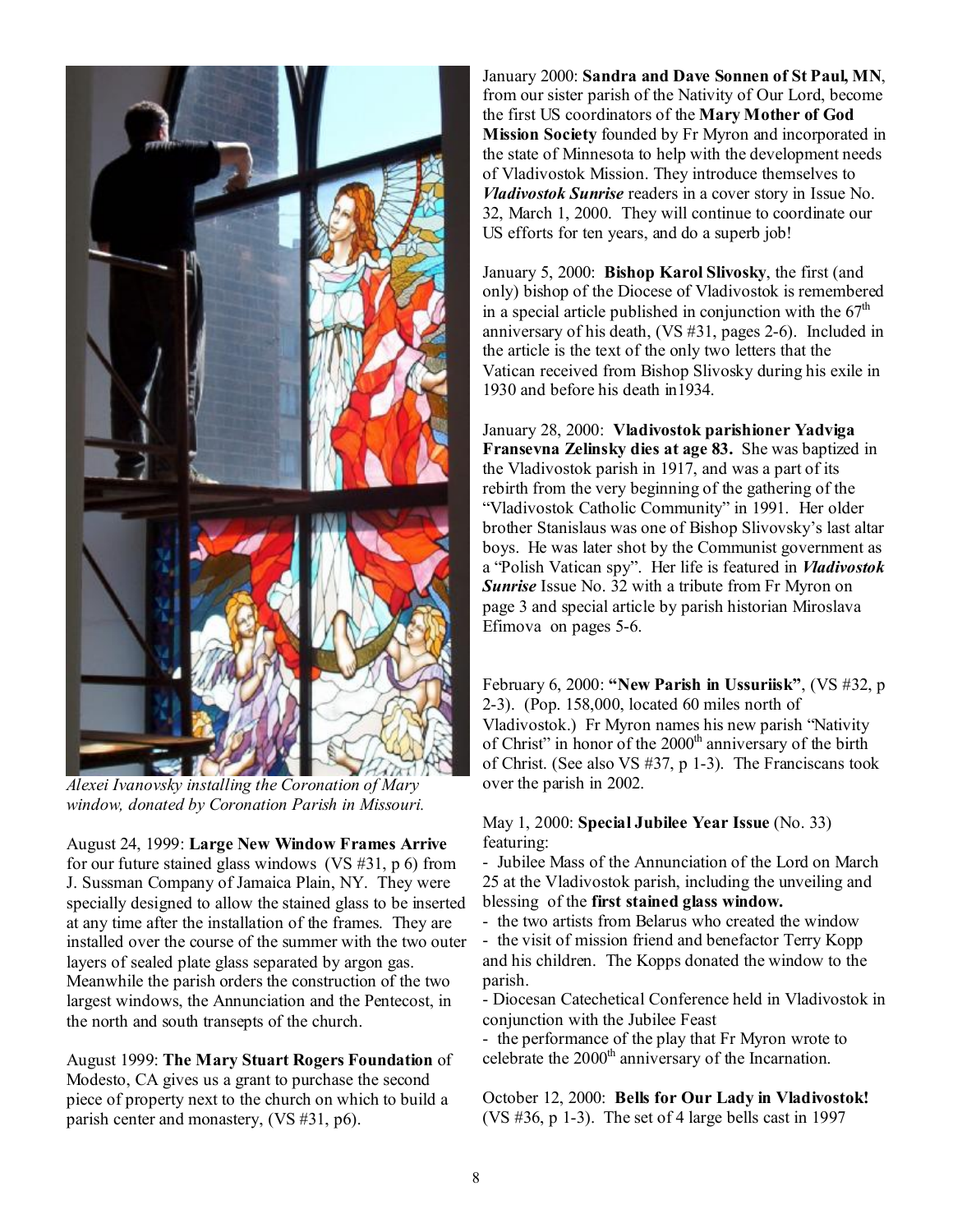

*Alexei Ivanovsky installing the Coronation of Mary window, donated by Coronation Parish in Missouri.* 

August 24, 1999: **Large New Window Frames Arrive** for our future stained glass windows (VS #31, p 6) from J. Sussman Company of Jamaica Plain, NY. They were specially designed to allow the stained glass to be inserted at any time after the installation of the frames. They are installed over the course of the summer with the two outer layers of sealed plate glass separated by argon gas. Meanwhile the parish orders the construction of the two largest windows, the Annunciation and the Pentecost, in the north and south transepts of the church.

August 1999: **The Mary Stuart Rogers Foundation** of Modesto, CA gives us a grant to purchase the second piece of property next to the church on which to build a parish center and monastery, (VS #31, p6).

January 2000: **Sandra and Dave Sonnen of St Paul, MN**, from our sister parish of the Nativity of Our Lord, become the first US coordinators of the **Mary Mother of God Mission Society** founded by Fr Myron and incorporated in the state of Minnesota to help with the development needs of Vladivostok Mission. They introduce themselves to *Vladivostok Sunrise* readers in a cover story in Issue No. 32, March 1, 2000. They will continue to coordinate our US efforts for ten years, and do a superb job!

January 5, 2000: **Bishop Karol Slivosky**, the first (and only) bishop of the Diocese of Vladivostok is remembered in a special article published in conjunction with the  $67<sup>th</sup>$ anniversary of his death, (VS #31, pages 2-6). Included in the article is the text of the only two letters that the Vatican received from Bishop Slivosky during his exile in 1930 and before his death in1934.

January 28, 2000: **Vladivostok parishioner Yadviga Fransevna Zelinsky dies at age 83.** She was baptized in the Vladivostok parish in 1917, and was a part of its rebirth from the very beginning of the gathering of the "Vladivostok Catholic Community" in 1991. Her older brother Stanislaus was one of Bishop Slivovsky's last altar boys. He was later shot by the Communist government as a "Polish Vatican spy". Her life is featured in *Vladivostok Sunrise* Issue No. 32 with a tribute from Fr Myron on page 3 and special article by parish historian Miroslava Efimova on pages 5-6.

February 6, 2000: **"New Parish in Ussuriisk"**, (VS #32, p 2-3). (Pop. 158,000, located 60 miles north of Vladivostok.) Fr Myron names his new parish "Nativity of Christ" in honor of the  $2000<sup>th</sup>$  anniversary of the birth of Christ. (See also VS #37, p 1-3). The Franciscans took over the parish in 2002.

May 1, 2000: **Special Jubilee Year Issue** (No. 33) featuring:

- Jubilee Mass of the Annunciation of the Lord on March 25 at the Vladivostok parish, including the unveiling and blessing of the **first stained glass window.**

- the two artists from Belarus who created the window

- the visit of mission friend and benefactor Terry Kopp and his children. The Kopps donated the window to the parish.

- Diocesan Catechetical Conference held in Vladivostok in conjunction with the Jubilee Feast

- the performance of the play that Fr Myron wrote to celebrate the 2000<sup>th</sup> anniversary of the Incarnation.

October 12, 2000: **Bells for Our Lady in Vladivostok!**  (VS  $\#36$ , p 1-3). The set of 4 large bells cast in 1997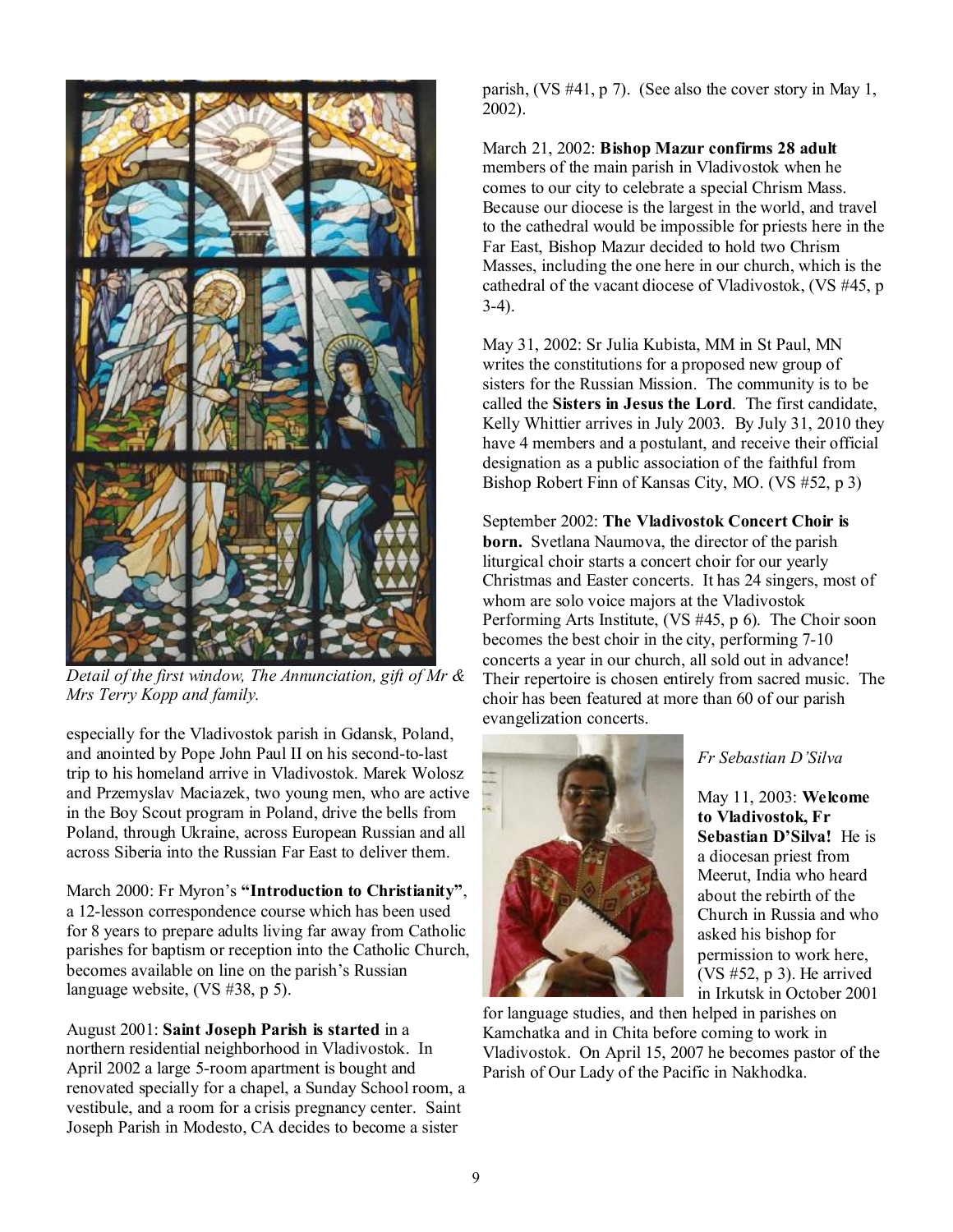

*Detail of the first window, The Annunciation, gift of Mr & Mrs Terry Kopp and family.* 

especially for the Vladivostok parish in Gdansk, Poland, and anointed by Pope John Paul II on his second-to-last trip to his homeland arrive in Vladivostok. Marek Wolosz and Przemyslav Maciazek, two young men, who are active in the Boy Scout program in Poland, drive the bells from Poland, through Ukraine, across European Russian and all across Siberia into the Russian Far East to deliver them.

March 2000: Fr Myron's **"Introduction to Christianity"**, a 12-lesson correspondence course which has been used for 8 years to prepare adults living far away from Catholic parishes for baptism or reception into the Catholic Church, becomes available on line on the parish's Russian language website, (VS #38, p 5).

August 2001: **Saint Joseph Parish is started** in a northern residential neighborhood in Vladivostok. In April 2002 a large 5-room apartment is bought and renovated specially for a chapel, a Sunday School room, a vestibule, and a room for a crisis pregnancy center. Saint Joseph Parish in Modesto, CA decides to become a sister

parish, (VS #41, p 7). (See also the cover story in May 1, 2002).

### March 21, 2002: **Bishop Mazur confirms 28 adult**  members of the main parish in Vladivostok when he comes to our city to celebrate a special Chrism Mass. Because our diocese is the largest in the world, and travel to the cathedral would be impossible for priests here in the Far East, Bishop Mazur decided to hold two Chrism Masses, including the one here in our church, which is the cathedral of the vacant diocese of Vladivostok, (VS #45, p 3-4).

May 31, 2002: Sr Julia Kubista, MM in St Paul, MN writes the constitutions for a proposed new group of sisters for the Russian Mission. The community is to be called the **Sisters in Jesus the Lord**. The first candidate, Kelly Whittier arrives in July 2003. By July 31, 2010 they have 4 members and a postulant, and receive their official designation as a public association of the faithful from Bishop Robert Finn of Kansas City, MO. (VS #52, p 3)

September 2002: **The Vladivostok Concert Choir is born.** Svetlana Naumova, the director of the parish liturgical choir starts a concert choir for our yearly Christmas and Easter concerts. It has 24 singers, most of whom are solo voice majors at the Vladivostok Performing Arts Institute, (VS #45, p 6). The Choir soon becomes the best choir in the city, performing 7-10 concerts a year in our church, all sold out in advance! Their repertoire is chosen entirely from sacred music. The choir has been featured at more than 60 of our parish evangelization concerts.



## *Fr Sebastian D'Silva*

May 11, 2003: **Welcome to Vladivostok, Fr Sebastian D'Silva!** He is a diocesan priest from Meerut, India who heard about the rebirth of the Church in Russia and who asked his bishop for permission to work here, (VS #52, p 3). He arrived in Irkutsk in October 2001

for language studies, and then helped in parishes on Kamchatka and in Chita before coming to work in Vladivostok. On April 15, 2007 he becomes pastor of the Parish of Our Lady of the Pacific in Nakhodka.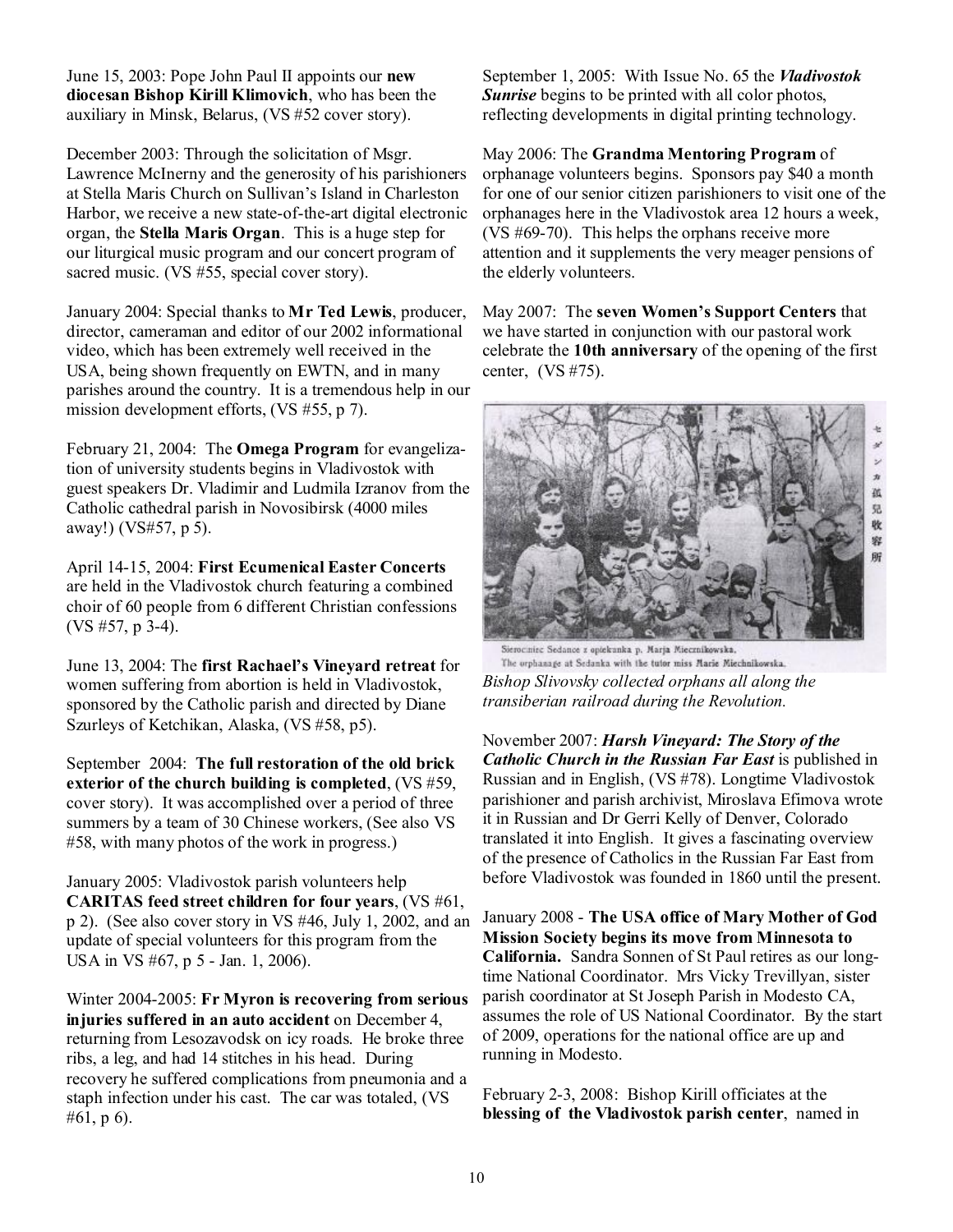June 15, 2003: Pope John Paul II appoints our **new diocesan Bishop Kirill Klimovich**, who has been the auxiliary in Minsk, Belarus, (VS #52 cover story).

December 2003: Through the solicitation of Msgr. Lawrence McInerny and the generosity of his parishioners at Stella Maris Church on Sullivan's Island in Charleston Harbor, we receive a new state-of-the-art digital electronic organ, the **Stella Maris Organ**. This is a huge step for our liturgical music program and our concert program of sacred music. (VS #55, special cover story).

January 2004: Special thanks to **Mr Ted Lewis**, producer, director, cameraman and editor of our 2002 informational video, which has been extremely well received in the USA, being shown frequently on EWTN, and in many parishes around the country. It is a tremendous help in our mission development efforts, (VS #55, p 7).

February 21, 2004: The **Omega Program** for evangelization of university students begins in Vladivostok with guest speakers Dr. Vladimir and Ludmila Izranov from the Catholic cathedral parish in Novosibirsk (4000 miles away!) (VS#57, p 5).

April 14-15, 2004: **First Ecumenical Easter Concerts**  are held in the Vladivostok church featuring a combined choir of 60 people from 6 different Christian confessions  $(VS \# 57, p\bar{3} - 4)$ .

June 13, 2004: The **first Rachael's Vineyard retreat** for women suffering from abortion is held in Vladivostok, sponsored by the Catholic parish and directed by Diane Szurleys of Ketchikan, Alaska, (VS #58, p5).

September 2004: **The full restoration of the old brick exterior of the church building is completed**, (VS #59, cover story). It was accomplished over a period of three summers by a team of 30 Chinese workers, (See also VS #58, with many photos of the work in progress.)

January 2005: Vladivostok parish volunteers help **CARITAS feed street children for four years**, (VS #61, p 2). (See also cover story in VS #46, July 1, 2002, and an update of special volunteers for this program from the USA in VS #67, p 5 - Jan. 1, 2006).

Winter 2004-2005: **Fr Myron is recovering from serious injuries suffered in an auto accident** on December 4, returning from Lesozavodsk on icy roads. He broke three ribs, a leg, and had 14 stitches in his head. During recovery he suffered complications from pneumonia and a staph infection under his cast. The car was totaled, (VS #61, p 6).

September 1, 2005: With Issue No. 65 the *Vladivostok Sunrise* begins to be printed with all color photos, reflecting developments in digital printing technology.

May 2006: The **Grandma Mentoring Program** of orphanage volunteers begins. Sponsors pay \$40 a month for one of our senior citizen parishioners to visit one of the orphanages here in the Vladivostok area 12 hours a week, (VS #69-70). This helps the orphans receive more attention and it supplements the very meager pensions of the elderly volunteers.

May 2007: The **seven Women's Support Centers** that we have started in conjunction with our pastoral work celebrate the **10th anniversary** of the opening of the first center, (VS #75).



Sierociniec Sedance z opiekunka p. Marja Miecznikowska, The orphanage at Sedanka with the tutor miss Marie Miechnikowska. *Bishop Slivovsky collected orphans all along the transiberian railroad during the Revolution.* 

November 2007: *Harsh Vineyard: The Story of the Catholic Church in the Russian Far East* is published in Russian and in English, (VS #78). Longtime Vladivostok parishioner and parish archivist, Miroslava Efimova wrote it in Russian and Dr Gerri Kelly of Denver, Colorado translated it into English. It gives a fascinating overview of the presence of Catholics in the Russian Far East from before Vladivostok was founded in 1860 until the present.

January 2008 - **The USA office of Mary Mother of God Mission Society begins its move from Minnesota to California.** Sandra Sonnen of St Paul retires as our longtime National Coordinator. Mrs Vicky Trevillyan, sister parish coordinator at St Joseph Parish in Modesto CA, assumes the role of US National Coordinator. By the start of 2009, operations for the national office are up and running in Modesto.

February 2-3, 2008: Bishop Kirill officiates at the **blessing of the Vladivostok parish center**, named in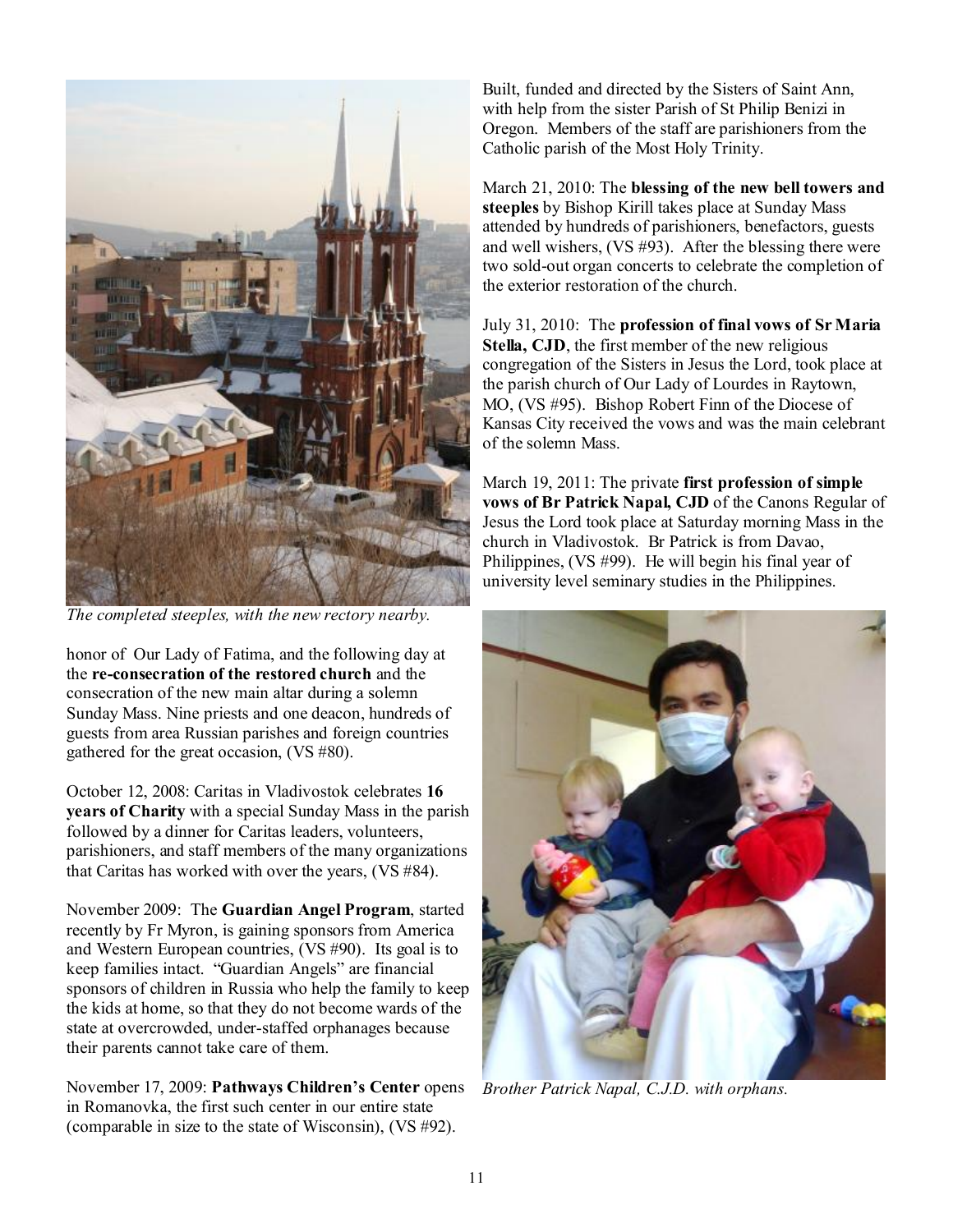

*The completed steeples, with the new rectory nearby.* 

honor of Our Lady of Fatima, and the following day at the **re-consecration of the restored church** and the consecration of the new main altar during a solemn Sunday Mass. Nine priests and one deacon, hundreds of guests from area Russian parishes and foreign countries gathered for the great occasion, (VS #80).

October 12, 2008: Caritas in Vladivostok celebrates **16 years of Charity** with a special Sunday Mass in the parish followed by a dinner for Caritas leaders, volunteers, parishioners, and staff members of the many organizations that Caritas has worked with over the years, (VS #84).

November 2009: The **Guardian Angel Program**, started recently by Fr Myron, is gaining sponsors from America and Western European countries, (VS #90). Its goal is to keep families intact. "Guardian Angels" are financial sponsors of children in Russia who help the family to keep the kids at home, so that they do not become wards of the state at overcrowded, under-staffed orphanages because their parents cannot take care of them.

November 17, 2009: **Pathways Children's Center** opens in Romanovka, the first such center in our entire state (comparable in size to the state of Wisconsin), (VS #92).

Built, funded and directed by the Sisters of Saint Ann, with help from the sister Parish of St Philip Benizi in Oregon. Members of the staff are parishioners from the Catholic parish of the Most Holy Trinity.

March 21, 2010: The **blessing of the new bell towers and steeples** by Bishop Kirill takes place at Sunday Mass attended by hundreds of parishioners, benefactors, guests and well wishers, (VS #93). After the blessing there were two sold-out organ concerts to celebrate the completion of the exterior restoration of the church.

July 31, 2010: The **profession of final vows of Sr Maria Stella, CJD**, the first member of the new religious congregation of the Sisters in Jesus the Lord, took place at the parish church of Our Lady of Lourdes in Raytown, MO, (VS #95). Bishop Robert Finn of the Diocese of Kansas City received the vows and was the main celebrant of the solemn Mass.

March 19, 2011: The private **first profession of simple vows of Br Patrick Napal, CJD** of the Canons Regular of Jesus the Lord took place at Saturday morning Mass in the church in Vladivostok. Br Patrick is from Davao, Philippines, (VS #99). He will begin his final year of university level seminary studies in the Philippines.



*Brother Patrick Napal, C.J.D. with orphans.*